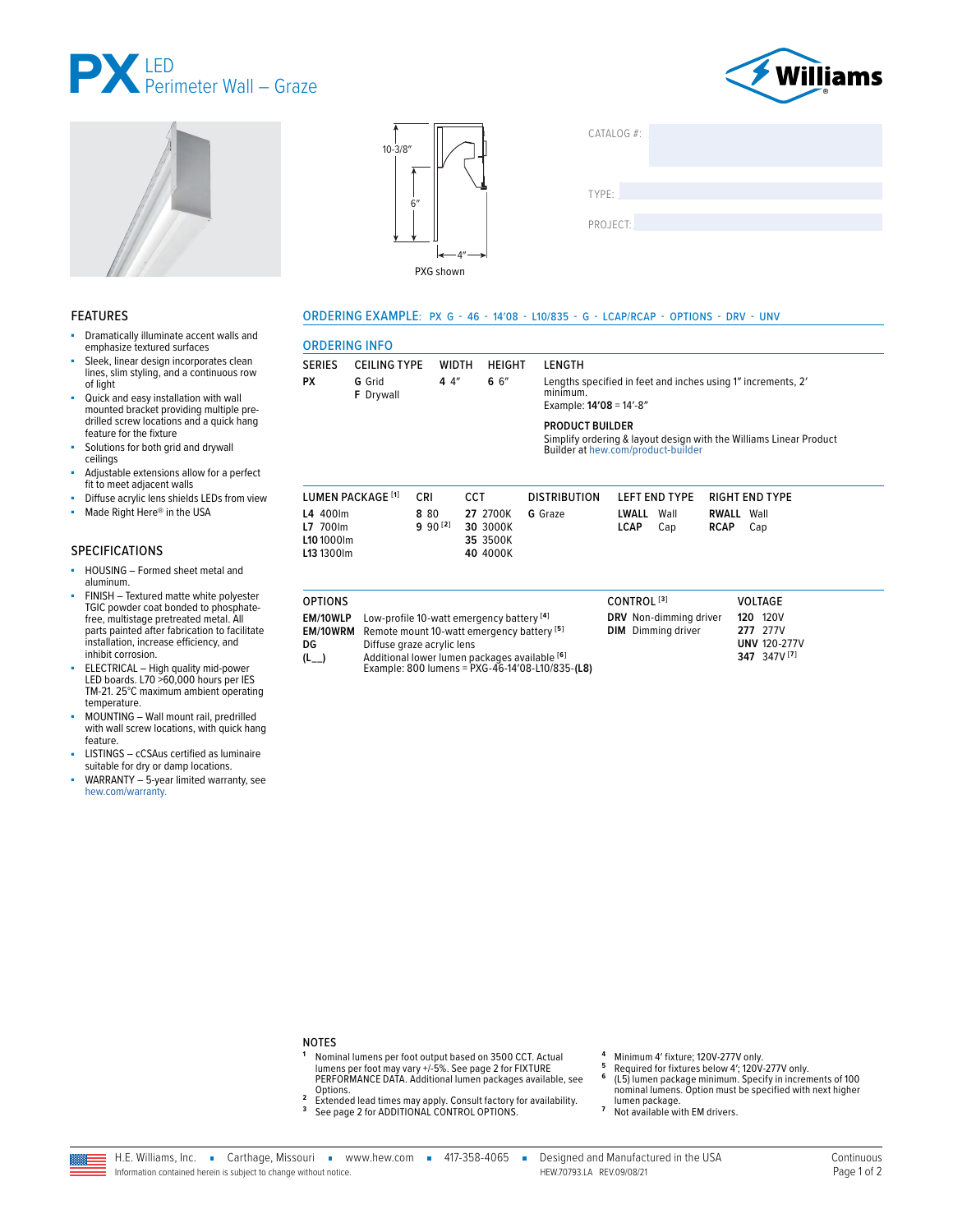





#### **FEATURES**

- à, Dramatically illuminate accent walls and emphasize textured surfaces
- Sleek, linear design incorporates clean lines, slim styling, and a continuous row of light
- Quick and easy installation with wall mounted bracket providing multiple predrilled screw locations and a quick hang feature for the fixture
- Solutions for both grid and drywall ceilings
- Adjustable extensions allow for a perfect fit to meet adjacent walls
- Diffuse acrylic lens shields LEDs from view
- ă. Made Right Here® in the USA

## **SPECIFICATIONS**

- HOUSING Formed sheet metal and ä, aluminum.
- FINISH Textured matte white polyester TGIC powder coat bonded to phosphatefree, multistage pretreated metal. All parts painted after fabrication to facilitate<br>installation, increase efficiency, and inhibit corrosion.
- THE CONCIDENTIAL High quality mid-power<br>LED boards. L70 >60,000 hours per IES<br>TM-21. 25°C maximum ambient operating temperature.
- MOUNTING Wall mount rail, predrilled ×. with wall screw locations, with quick hang feature.
- LISTINGS cCSAus certified as luminaire suitable for dry or damp locations.
- WARRANTY 5-year limited warranty, see hew.com/warranty.



| CATALOG #: |  |  |
|------------|--|--|
|            |  |  |
|            |  |  |
|            |  |  |
| TYPE:      |  |  |
| PROJECT:   |  |  |
|            |  |  |
|            |  |  |

#### ORDERING EXAMPLE: PX G - 46 - 14'08 - L10/835 - G - LCAP/RCAP - OPTIONS - DRV - UNV

| <b>ORDERING INFO</b>                                                                                                               |                              |                      |                                                                                                                                                     |                                                 |                                                     |                                                                               |
|------------------------------------------------------------------------------------------------------------------------------------|------------------------------|----------------------|-----------------------------------------------------------------------------------------------------------------------------------------------------|-------------------------------------------------|-----------------------------------------------------|-------------------------------------------------------------------------------|
| <b>SERIES</b>                                                                                                                      | <b>CEILING TYPE</b>          | <b>WIDTH</b>         | <b>HEIGHT</b>                                                                                                                                       | LENGTH                                          |                                                     |                                                                               |
| РX                                                                                                                                 | G Grid<br><b>F</b> Drywall   | 44''                 | 66''                                                                                                                                                | minimum.<br>Example: $14'08 = 14' - 8''$        |                                                     | Lengths specified in feet and inches using 1" increments, 2'                  |
| <b>PRODUCT BUILDER</b><br>Simplify ordering & layout design with the Williams Linear Product<br>Builder at hew.com/product-builder |                              |                      |                                                                                                                                                     |                                                 |                                                     |                                                                               |
|                                                                                                                                    | LUMEN PACKAGE <sup>[1]</sup> | CRI                  | <b>CCT</b>                                                                                                                                          | <b>DISTRIBUTION</b>                             | <b>LEFT END TYPE</b>                                | <b>RIGHT END TYPE</b>                                                         |
| L4 400lm<br>L7 700lm<br>L10 1000lm<br>L13 1300lm                                                                                   |                              | 8 80<br>$9.90^{[2]}$ | 27 2700K<br>30 3000K<br>35 3500K<br>40 4000K                                                                                                        | G Graze                                         | LWALL<br>Wall<br><b>LCAP</b><br>Cap                 | RWALL<br>Wall<br><b>RCAP</b><br>Cap                                           |
| <b>OPTIONS</b>                                                                                                                     |                              |                      |                                                                                                                                                     |                                                 | CONTROL <sup>[3]</sup>                              | <b>VOLTAGE</b>                                                                |
| EM/10WLP<br>EM/10WRM<br>DG<br>$(L_{--})$                                                                                           | Diffuse graze acrylic lens   |                      | Low-profile 10-watt emergency battery [4]<br>Remote mount 10-watt emergency battery <sup>[5]</sup><br>Additional lower lumen packages available [6] | Example: 800 lumens = PXG-46-14'08-L10/835-(L8) | DRV Non-dimming driver<br><b>DIM</b> Dimming driver | <b>120 120V</b><br>277 277V<br><b>UNV 120-277V</b><br>347 347V <sup>[7]</sup> |

## **NOTES**

- 1 Nominal lumens per foot output based on 3500 CCT. Actual<br>lumens per foot may vary +/-5%. See page 2 for FIXTURE<br>PERFORMANCE DATA. Additional lumen packages available, see Options.
- 2 Extended lead times may apply. Consult factory for availability.<br><sup>3</sup> See page 2 for ADDITIONAL CONTROL OPTIONS.
- 
- Minimum 4' fixture; 120V-277V only.  $\overline{5}$
- minimum + instance, i.e.v.+2.17 v.miy.<br>Required for fixtures below 4'; 120V-277V only.<br>(L5) lumen package minimum. Specify in increments of 100<br>nominal lumens. Option must be specified with next higher  $\bf 6$
- lumen package.  $\overline{7}$
- Not available with EM drivers.